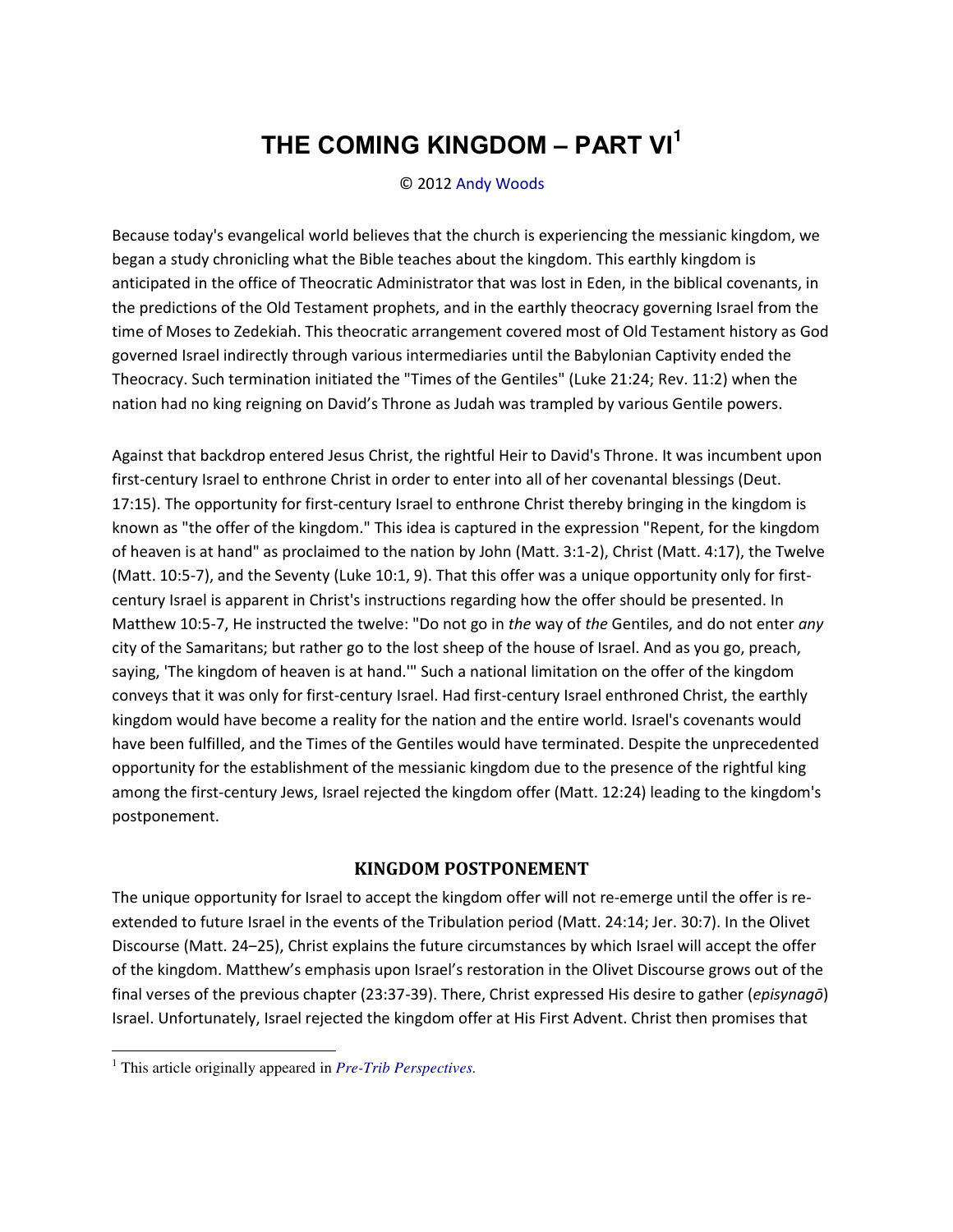## **THE COMING KINGDOM ‒ PART VI<sup>1</sup>**

## © 2012 [Andy Woods](http://www.spiritandtruth.org/id/aw.htm)

Because today's evangelical world believes that the church is experiencing the messianic kingdom, we began a study chronicling what the Bible teaches about the kingdom. This earthly kingdom is anticipated in the office of Theocratic Administrator that was lost in Eden, in the biblical covenants, in the predictions of the Old Testament prophets, and in the earthly theocracy governing Israel from the time of Moses to Zedekiah. This theocratic arrangement covered most of Old Testament history as God governed Israel indirectly through various intermediaries until the Babylonian Captivity ended the Theocracy. Such termination initiated the "Times of the Gentiles" (Luke 21:24; Rev. 11:2) when the nation had no king reigning on David's Throne as Judah was trampled by various Gentile powers.

Against that backdrop entered Jesus Christ, the rightful Heir to David's Throne. It was incumbent upon first-century Israel to enthrone Christ in order to enter into all of her covenantal blessings (Deut. 17:15). The opportunity for first-century Israel to enthrone Christ thereby bringing in the kingdom is known as "the offer of the kingdom." This idea is captured in the expression "Repent, for the kingdom of heaven is at hand" as proclaimed to the nation by John (Matt. 3:1-2), Christ (Matt. 4:17), the Twelve (Matt. 10:5-7), and the Seventy (Luke 10:1, 9). That this offer was a unique opportunity only for firstcentury Israel is apparent in Christ's instructions regarding how the offer should be presented. In Matthew 10:5-7, He instructed the twelve: "Do not go in *the* way of *the* Gentiles, and do not enter *any* city of the Samaritans; but rather go to the lost sheep of the house of Israel. And as you go, preach, saying, 'The kingdom of heaven is at hand.'" Such a national limitation on the offer of the kingdom conveys that it was only for first-century Israel. Had first-century Israel enthroned Christ, the earthly kingdom would have become a reality for the nation and the entire world. Israel's covenants would have been fulfilled, and the Times of the Gentiles would have terminated. Despite the unprecedented opportunity for the establishment of the messianic kingdom due to the presence of the rightful king among the first-century Jews, Israel rejected the kingdom offer (Matt. 12:24) leading to the kingdom's postponement.

## **KINGDOM POSTPONEMENT**

The unique opportunity for Israel to accept the kingdom offer will not re-emerge until the offer is reextended to future Israel in the events of the Tribulation period (Matt. 24:14; Jer. 30:7). In the Olivet Discourse (Matt. 24–25), Christ explains the future circumstances by which Israel will accept the offer of the kingdom. Matthew's emphasis upon Israel's restoration in the Olivet Discourse grows out of the final verses of the previous chapter (23:37-39). There, Christ expressed His desire to gather (*episynagō*) Israel. Unfortunately, Israel rejected the kingdom offer at His First Advent. Christ then promises that

 $\overline{a}$ 

<sup>1</sup> This article originally appeared in *[Pre-Trib Perspectives.](http://www.pre-trib.org/)*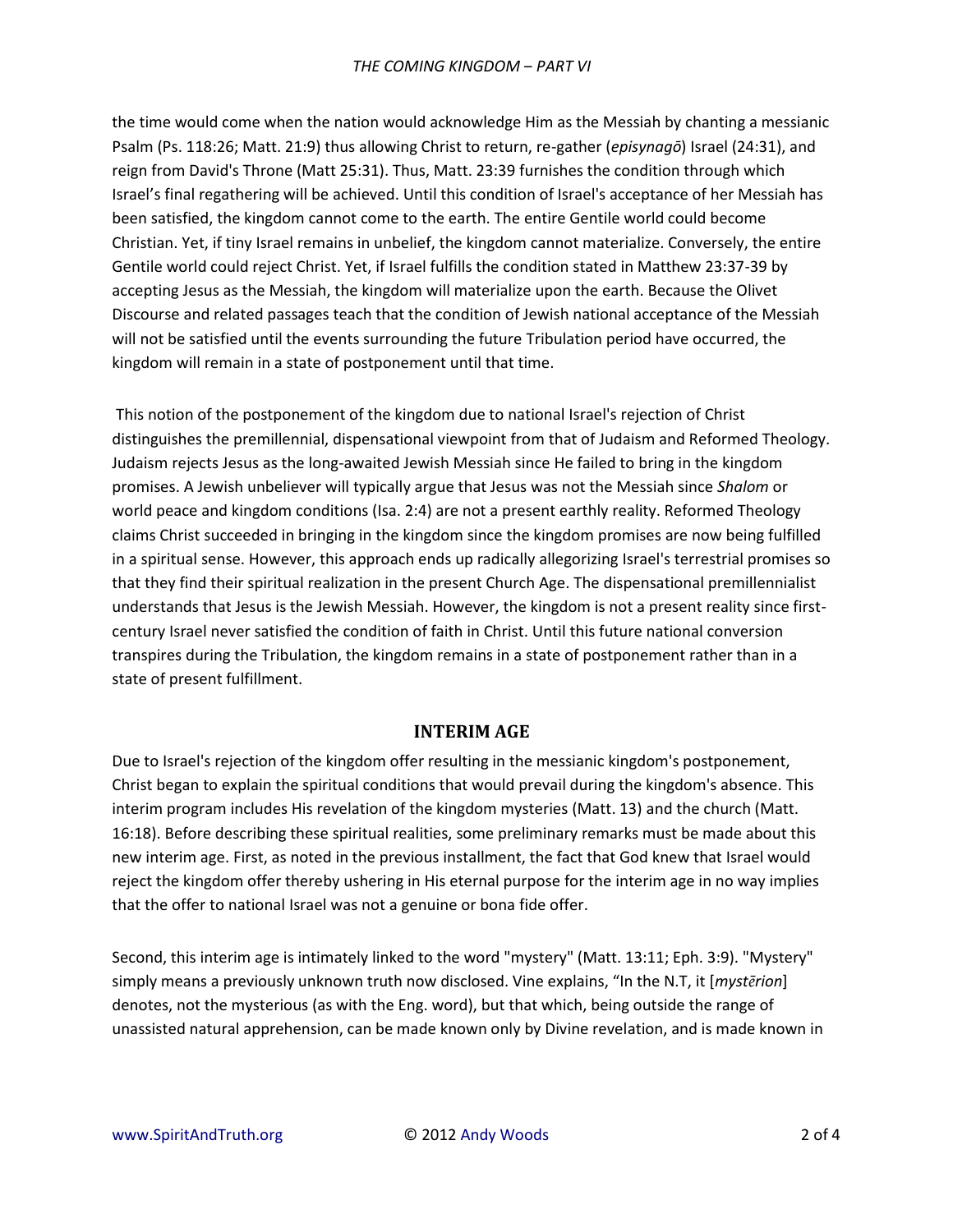the time would come when the nation would acknowledge Him as the Messiah by chanting a messianic Psalm (Ps. 118:26; Matt. 21:9) thus allowing Christ to return, re-gather (*episynagō*) Israel (24:31), and reign from David's Throne (Matt 25:31). Thus, Matt. 23:39 furnishes the condition through which Israel's final regathering will be achieved. Until this condition of Israel's acceptance of her Messiah has been satisfied, the kingdom cannot come to the earth. The entire Gentile world could become Christian. Yet, if tiny Israel remains in unbelief, the kingdom cannot materialize. Conversely, the entire Gentile world could reject Christ. Yet, if Israel fulfills the condition stated in Matthew 23:37-39 by accepting Jesus as the Messiah, the kingdom will materialize upon the earth. Because the Olivet Discourse and related passages teach that the condition of Jewish national acceptance of the Messiah will not be satisfied until the events surrounding the future Tribulation period have occurred, the kingdom will remain in a state of postponement until that time.

 This notion of the postponement of the kingdom due to national Israel's rejection of Christ distinguishes the premillennial, dispensational viewpoint from that of Judaism and Reformed Theology. Judaism rejects Jesus as the long-awaited Jewish Messiah since He failed to bring in the kingdom promises. A Jewish unbeliever will typically argue that Jesus was not the Messiah since *Shalom* or world peace and kingdom conditions (Isa. 2:4) are not a present earthly reality. Reformed Theology claims Christ succeeded in bringing in the kingdom since the kingdom promises are now being fulfilled in a spiritual sense. However, this approach ends up radically allegorizing Israel's terrestrial promises so that they find their spiritual realization in the present Church Age. The dispensational premillennialist understands that Jesus is the Jewish Messiah. However, the kingdom is not a present reality since firstcentury Israel never satisfied the condition of faith in Christ. Until this future national conversion transpires during the Tribulation, the kingdom remains in a state of postponement rather than in a state of present fulfillment.

## **INTERIM AGE**

Due to Israel's rejection of the kingdom offer resulting in the messianic kingdom's postponement, Christ began to explain the spiritual conditions that would prevail during the kingdom's absence. This interim program includes His revelation of the kingdom mysteries (Matt. 13) and the church (Matt. 16:18). Before describing these spiritual realities, some preliminary remarks must be made about this new interim age. First, as noted in the previous installment, the fact that God knew that Israel would reject the kingdom offer thereby ushering in His eternal purpose for the interim age in no way implies that the offer to national Israel was not a genuine or bona fide offer.

Second, this interim age is intimately linked to the word "mystery" (Matt. 13:11; Eph. 3:9). "Mystery" simply means a previously unknown truth now disclosed. Vine explains, "In the N.T, it [*mystērion*] denotes, not the mysterious (as with the Eng. word), but that which, being outside the range of unassisted natural apprehension, can be made known only by Divine revelation, and is made known in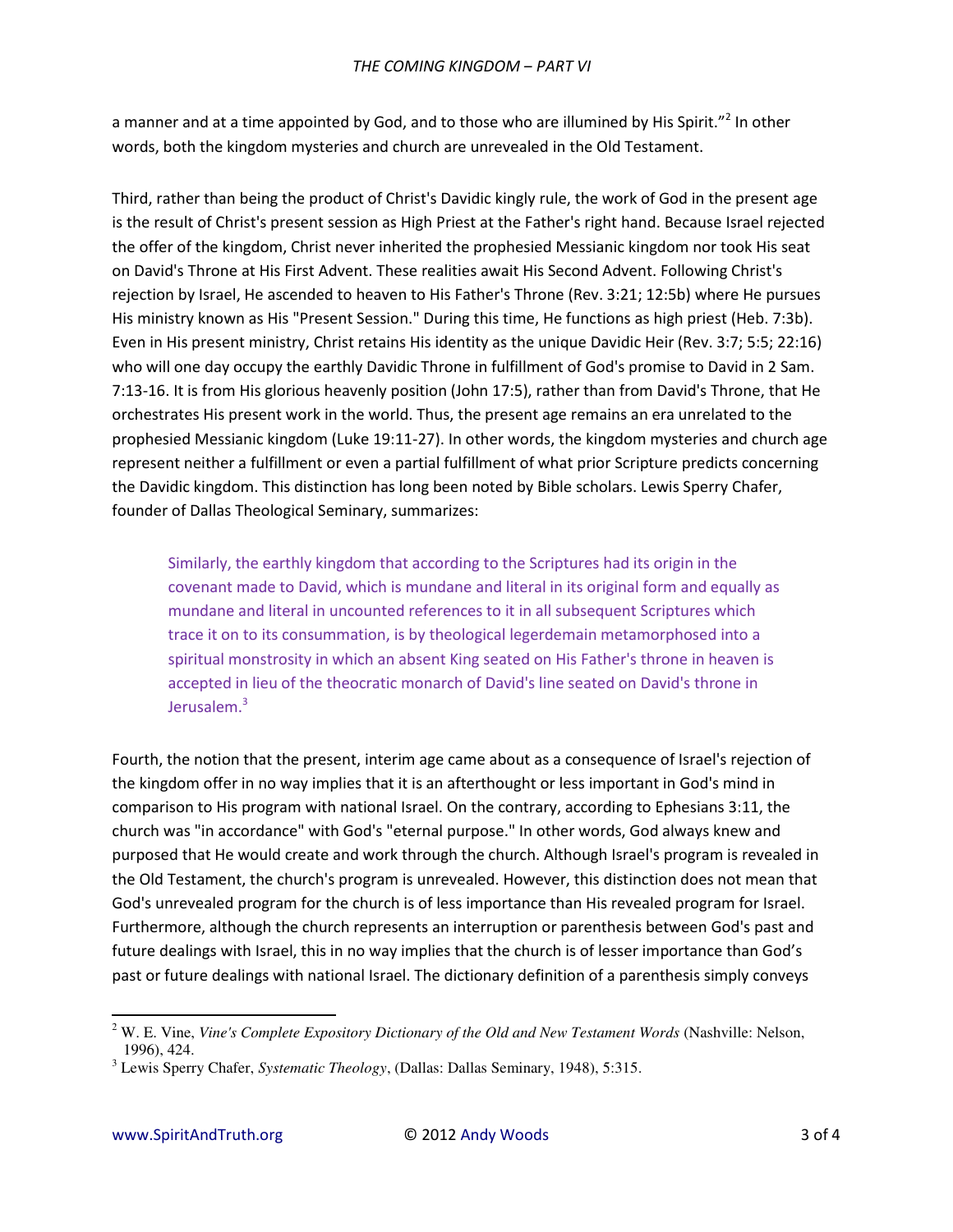a manner and at a time appointed by God, and to those who are illumined by His Spirit. $^{n^2}$  In other words, both the kingdom mysteries and church are unrevealed in the Old Testament.

Third, rather than being the product of Christ's Davidic kingly rule, the work of God in the present age is the result of Christ's present session as High Priest at the Father's right hand. Because Israel rejected the offer of the kingdom, Christ never inherited the prophesied Messianic kingdom nor took His seat on David's Throne at His First Advent. These realities await His Second Advent. Following Christ's rejection by Israel, He ascended to heaven to His Father's Throne (Rev. 3:21; 12:5b) where He pursues His ministry known as His "Present Session." During this time, He functions as high priest (Heb. 7:3b). Even in His present ministry, Christ retains His identity as the unique Davidic Heir (Rev. 3:7; 5:5; 22:16) who will one day occupy the earthly Davidic Throne in fulfillment of God's promise to David in 2 Sam. 7:13-16. It is from His glorious heavenly position (John 17:5), rather than from David's Throne, that He orchestrates His present work in the world. Thus, the present age remains an era unrelated to the prophesied Messianic kingdom (Luke 19:11-27). In other words, the kingdom mysteries and church age represent neither a fulfillment or even a partial fulfillment of what prior Scripture predicts concerning the Davidic kingdom. This distinction has long been noted by Bible scholars. Lewis Sperry Chafer, founder of Dallas Theological Seminary, summarizes:

Similarly, the earthly kingdom that according to the Scriptures had its origin in the covenant made to David, which is mundane and literal in its original form and equally as mundane and literal in uncounted references to it in all subsequent Scriptures which trace it on to its consummation, is by theological legerdemain metamorphosed into a spiritual monstrosity in which an absent King seated on His Father's throne in heaven is accepted in lieu of the theocratic monarch of David's line seated on David's throne in Jerusalem.<sup>3</sup>

Fourth, the notion that the present, interim age came about as a consequence of Israel's rejection of the kingdom offer in no way implies that it is an afterthought or less important in God's mind in comparison to His program with national Israel. On the contrary, according to Ephesians 3:11, the church was "in accordance" with God's "eternal purpose." In other words, God always knew and purposed that He would create and work through the church. Although Israel's program is revealed in the Old Testament, the church's program is unrevealed. However, this distinction does not mean that God's unrevealed program for the church is of less importance than His revealed program for Israel. Furthermore, although the church represents an interruption or parenthesis between God's past and future dealings with Israel, this in no way implies that the church is of lesser importance than God's past or future dealings with national Israel. The dictionary definition of a parenthesis simply conveys

 $\overline{a}$ 

<sup>2</sup> W. E. Vine, *Vine's Complete Expository Dictionary of the Old and New Testament Words* (Nashville: Nelson, 1996), 424.

<sup>3</sup> Lewis Sperry Chafer, *Systematic Theology*, (Dallas: Dallas Seminary, 1948), 5:315.